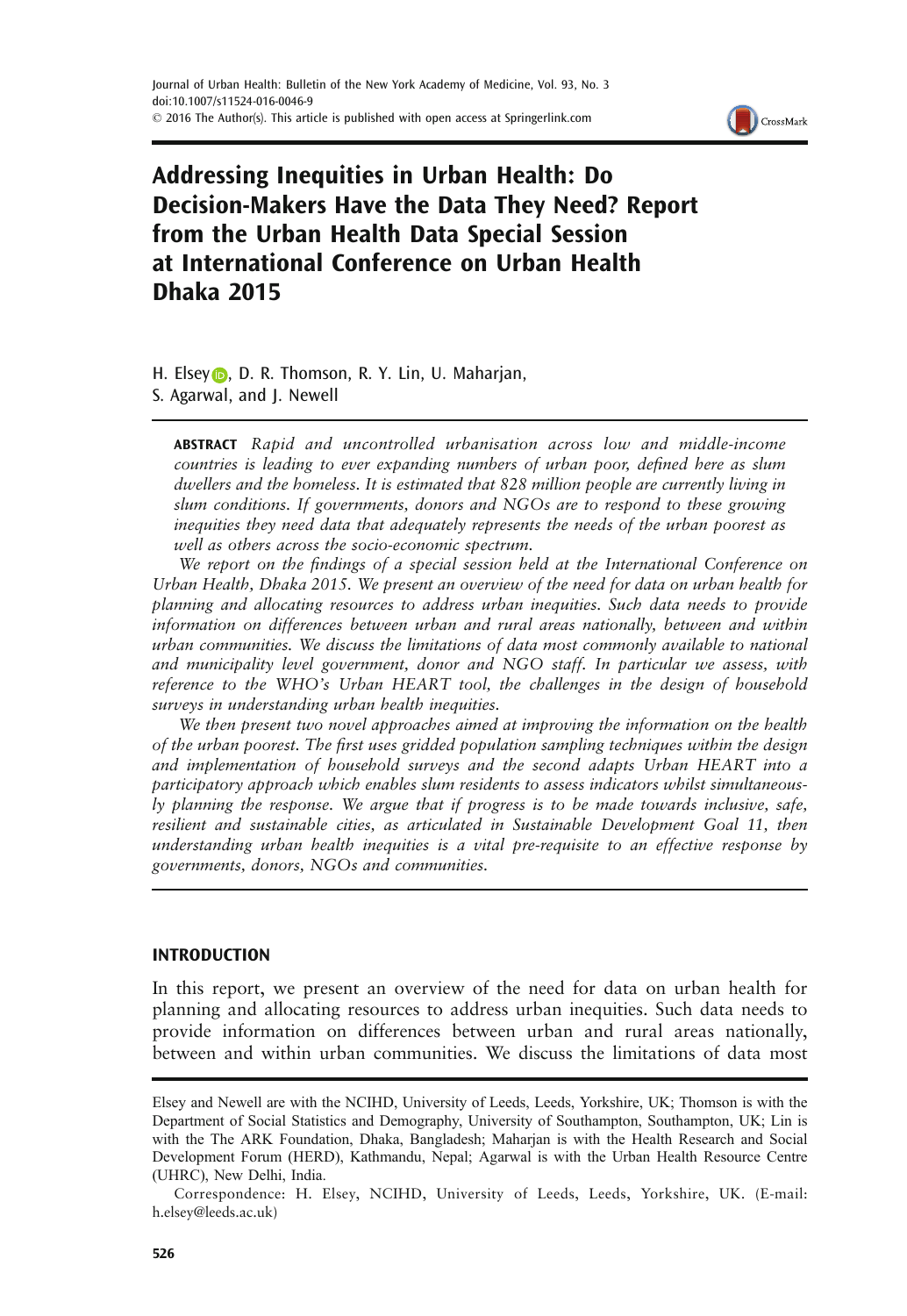

# Addressing Inequities in Urban Health: Do Decision-Makers Have the Data They Need? Report from the Urban Health Data Special Session at International Conference on Urban Health Dhaka 2015

H. Elsey **D**[,](http://orcid.org/0000-0003-4724-0581) D. R. Thomson, R. Y. Lin, U. Maharjan, S. Agarwal, and J. Newell

ABSTRACT Rapid and uncontrolled urbanisation across low and middle-income countries is leading to ever expanding numbers of urban poor, defined here as slum dwellers and the homeless. It is estimated that 828 million people are currently living in slum conditions. If governments, donors and NGOs are to respond to these growing inequities they need data that adequately represents the needs of the urban poorest as well as others across the socio-economic spectrum.

We report on the findings of a special session held at the International Conference on Urban Health, Dhaka 2015. We present an overview of the need for data on urban health for planning and allocating resources to address urban inequities. Such data needs to provide information on differences between urban and rural areas nationally, between and within urban communities. We discuss the limitations of data most commonly available to national and municipality level government, donor and NGO staff. In particular we assess, with reference to the WHO's Urban HEART tool, the challenges in the design of household surveys in understanding urban health inequities.

We then present two novel approaches aimed at improving the information on the health of the urban poorest. The first uses gridded population sampling techniques within the design and implementation of household surveys and the second adapts Urban HEART into a participatory approach which enables slum residents to assess indicators whilst simultaneously planning the response. We argue that if progress is to be made towards inclusive, safe, resilient and sustainable cities, as articulated in Sustainable Development Goal 11, then understanding urban health inequities is a vital pre-requisite to an effective response by governments, donors, NGOs and communities.

## INTRODUCTION

In this report, we present an overview of the need for data on urban health for planning and allocating resources to address urban inequities. Such data needs to provide information on differences between urban and rural areas nationally, between and within urban communities. We discuss the limitations of data most

Elsey and Newell are with the NCIHD, University of Leeds, Leeds, Yorkshire, UK; Thomson is with the Department of Social Statistics and Demography, University of Southampton, Southampton, UK; Lin is with the The ARK Foundation, Dhaka, Bangladesh; Maharjan is with the Health Research and Social Development Forum (HERD), Kathmandu, Nepal; Agarwal is with the Urban Health Resource Centre (UHRC), New Delhi, India.

Correspondence: H. Elsey, NCIHD, University of Leeds, Leeds, Yorkshire, UK. (E-mail: h.elsey@leeds.ac.uk)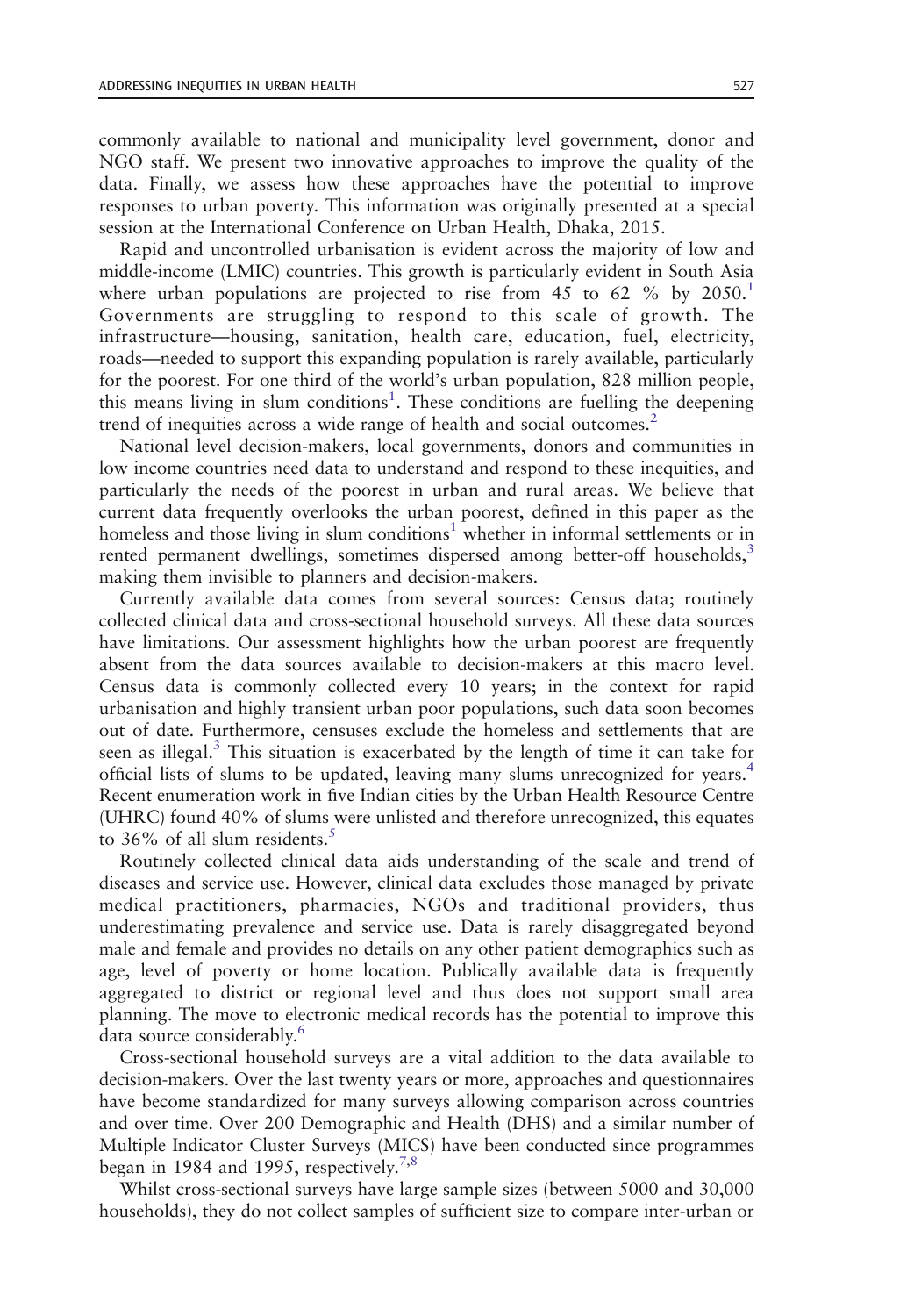commonly available to national and municipality level government, donor and NGO staff. We present two innovative approaches to improve the quality of the data. Finally, we assess how these approaches have the potential to improve responses to urban poverty. This information was originally presented at a special session at the International Conference on Urban Health, Dhaka, 2015.

Rapid and uncontrolled urbanisation is evident across the majority of low and middle-income (LMIC) countries. This growth is particularly evident in South Asia where urban populations are projected to rise from 45 to 62 % by  $2050<sup>1</sup>$  $2050<sup>1</sup>$  $2050<sup>1</sup>$ Governments are struggling to respond to this scale of growth. The infrastructure—housing, sanitation, health care, education, fuel, electricity, roads—needed to support this expanding population is rarely available, particularly for the poorest. For one third of the world's urban population, 828 million people, this means living in slum conditions<sup>[1](#page-11-0)</sup>. These conditions are fuelling the deepening trend of inequities across a wide range of health and social outcomes.<sup>[2](#page-11-0)</sup>

National level decision-makers, local governments, donors and communities in low income countries need data to understand and respond to these inequities, and particularly the needs of the poorest in urban and rural areas. We believe that current data frequently overlooks the urban poorest, defined in this paper as the homeless and those living in slum conditions<sup>1</sup> whether in informal settlements or in rented permanent dwellings, sometimes dispersed among better-off households,<sup>[3](#page-11-0)</sup> making them invisible to planners and decision-makers.

Currently available data comes from several sources: Census data; routinely collected clinical data and cross-sectional household surveys. All these data sources have limitations. Our assessment highlights how the urban poorest are frequently absent from the data sources available to decision-makers at this macro level. Census data is commonly collected every 10 years; in the context for rapid urbanisation and highly transient urban poor populations, such data soon becomes out of date. Furthermore, censuses exclude the homeless and settlements that are seen as illegal.<sup>[3](#page-11-0)</sup> This situation is exacerbated by the length of time it can take for official lists of slums to be updated, leaving many slums unrecognized for years.[4](#page-11-0) Recent enumeration work in five Indian cities by the Urban Health Resource Centre (UHRC) found 40% of slums were unlisted and therefore unrecognized, this equates to 36% of all slum residents.<sup>[5](#page-11-0)</sup>

Routinely collected clinical data aids understanding of the scale and trend of diseases and service use. However, clinical data excludes those managed by private medical practitioners, pharmacies, NGOs and traditional providers, thus underestimating prevalence and service use. Data is rarely disaggregated beyond male and female and provides no details on any other patient demographics such as age, level of poverty or home location. Publically available data is frequently aggregated to district or regional level and thus does not support small area planning. The move to electronic medical records has the potential to improve this data source considerably.<sup>[6](#page-11-0)</sup>

Cross-sectional household surveys are a vital addition to the data available to decision-makers. Over the last twenty years or more, approaches and questionnaires have become standardized for many surveys allowing comparison across countries and over time. Over 200 Demographic and Health (DHS) and a similar number of Multiple Indicator Cluster Surveys (MICS) have been conducted since programmes began in 19[8](#page-11-0)4 and 1995, respectively.<sup>7,8</sup>

Whilst cross-sectional surveys have large sample sizes (between 5000 and 30,000 households), they do not collect samples of sufficient size to compare inter-urban or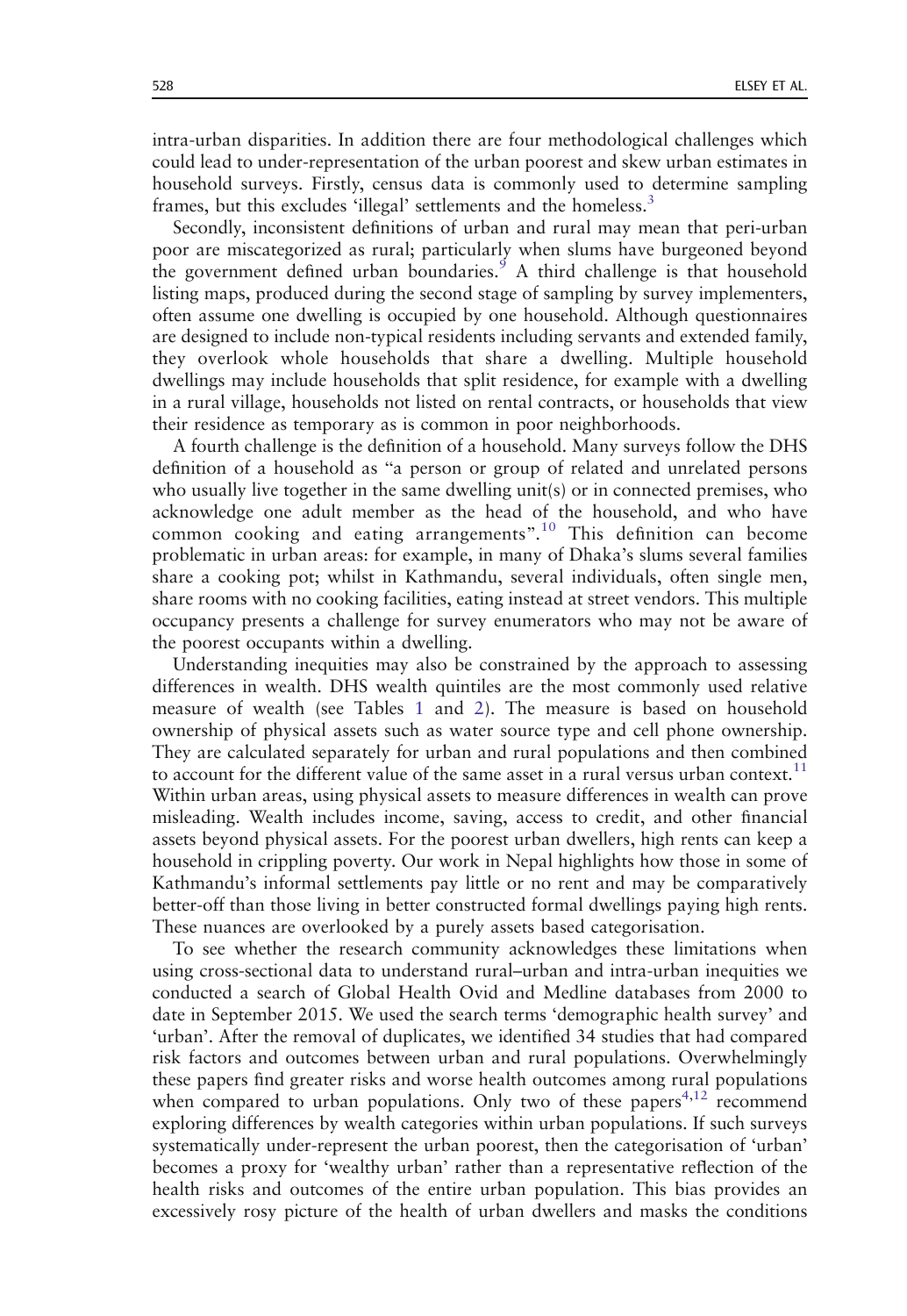intra-urban disparities. In addition there are four methodological challenges which could lead to under-representation of the urban poorest and skew urban estimates in household surveys. Firstly, census data is commonly used to determine sampling frames, but this excludes 'illegal' settlements and the homeless.<sup>[3](#page-11-0)</sup>

Secondly, inconsistent definitions of urban and rural may mean that peri-urban poor are miscategorized as rural; particularly when slums have burgeoned beyond the government defined urban boundaries.<sup>[9](#page-11-0)</sup> A third challenge is that household listing maps, produced during the second stage of sampling by survey implementers, often assume one dwelling is occupied by one household. Although questionnaires are designed to include non-typical residents including servants and extended family, they overlook whole households that share a dwelling. Multiple household dwellings may include households that split residence, for example with a dwelling in a rural village, households not listed on rental contracts, or households that view their residence as temporary as is common in poor neighborhoods.

A fourth challenge is the definition of a household. Many surveys follow the DHS definition of a household as "a person or group of related and unrelated persons who usually live together in the same dwelling unit(s) or in connected premises, who acknowledge one adult member as the head of the household, and who have common cooking and eating arrangements".<sup>[10](#page-11-0)</sup> This definition can become problematic in urban areas: for example, in many of Dhaka's slums several families share a cooking pot; whilst in Kathmandu, several individuals, often single men, share rooms with no cooking facilities, eating instead at street vendors. This multiple occupancy presents a challenge for survey enumerators who may not be aware of the poorest occupants within a dwelling.

Understanding inequities may also be constrained by the approach to assessing differences in wealth. DHS wealth quintiles are the most commonly used relative measure of wealth (see Tables [1](#page-3-0) and [2](#page-5-0)). The measure is based on household ownership of physical assets such as water source type and cell phone ownership. They are calculated separately for urban and rural populations and then combined to account for the different value of the same asset in a rural versus urban context.<sup>[11](#page-11-0)</sup> Within urban areas, using physical assets to measure differences in wealth can prove misleading. Wealth includes income, saving, access to credit, and other financial assets beyond physical assets. For the poorest urban dwellers, high rents can keep a household in crippling poverty. Our work in Nepal highlights how those in some of Kathmandu's informal settlements pay little or no rent and may be comparatively better-off than those living in better constructed formal dwellings paying high rents. These nuances are overlooked by a purely assets based categorisation.

To see whether the research community acknowledges these limitations when using cross-sectional data to understand rural–urban and intra-urban inequities we conducted a search of Global Health Ovid and Medline databases from 2000 to date in September 2015. We used the search terms 'demographic health survey' and 'urban'. After the removal of duplicates, we identified 34 studies that had compared risk factors and outcomes between urban and rural populations. Overwhelmingly these papers find greater risks and worse health outcomes among rural populations when compared to urban populations. Only two of these papers $4,12$  recommend exploring differences by wealth categories within urban populations. If such surveys systematically under-represent the urban poorest, then the categorisation of 'urban' becomes a proxy for 'wealthy urban' rather than a representative reflection of the health risks and outcomes of the entire urban population. This bias provides an excessively rosy picture of the health of urban dwellers and masks the conditions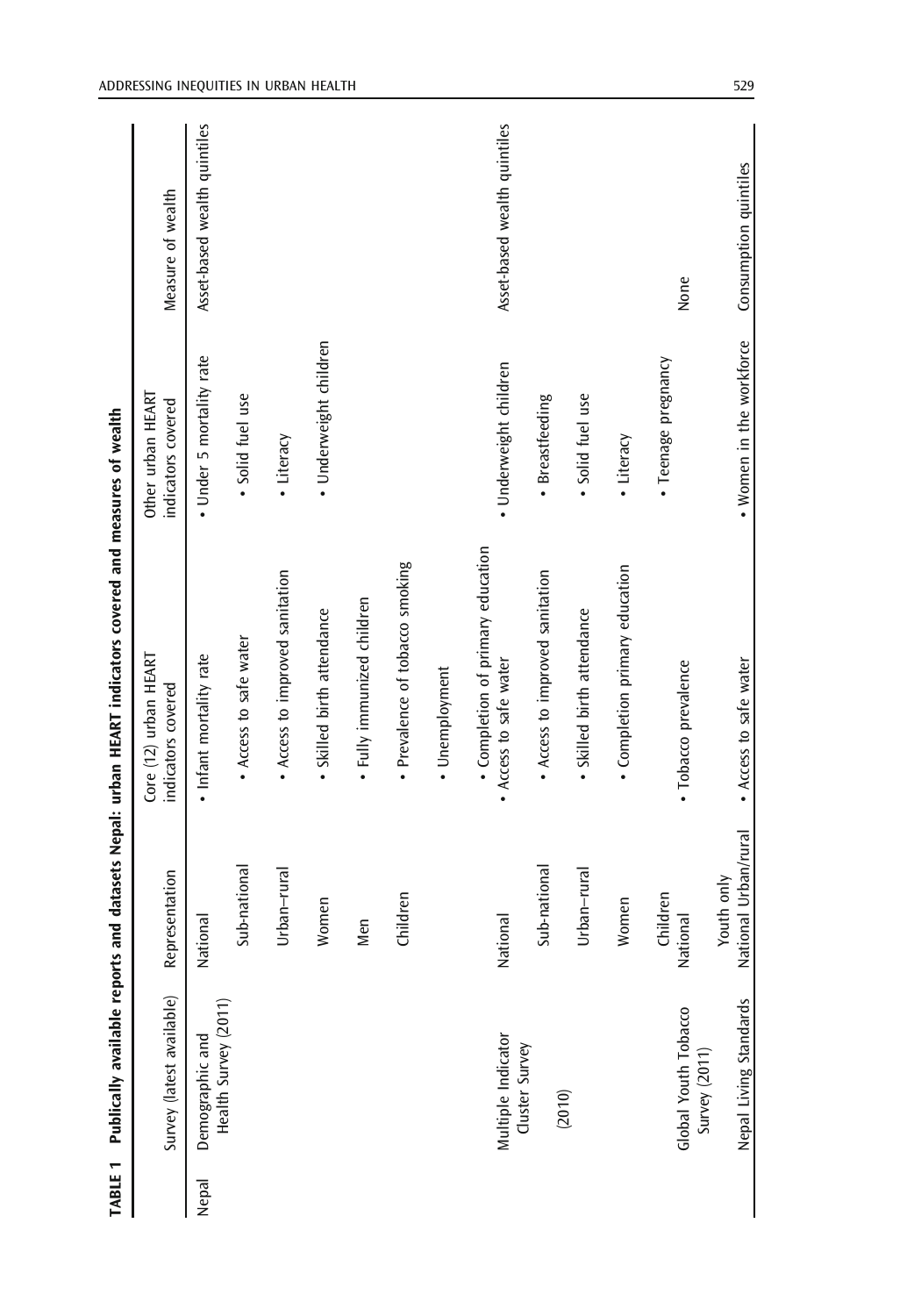<span id="page-3-0"></span>

| <b>TABLE 1</b> |                                              |                                    | Publically available reports and datasets Nepal: urban HEART indicators covered and measures of wealth |                                         |                              |
|----------------|----------------------------------------------|------------------------------------|--------------------------------------------------------------------------------------------------------|-----------------------------------------|------------------------------|
|                | Survey (latest available)                    | Representation                     | Core (12) urban HEART<br>indicators covered                                                            | Other urban HEART<br>indicators covered | Measure of wealth            |
| Nepal          | Health Survey (2011)<br>Demographic and      | National                           | · Infant mortality rate                                                                                | • Under 5 mortality rate                | Asset-based wealth quintiles |
|                |                                              | Sub-national                       | . Access to safe water                                                                                 | • Solid fuel use                        |                              |
|                |                                              | Urban-rural                        | • Access to improved sanitation                                                                        | • Literacy                              |                              |
|                |                                              | Women                              | • Skilled birth attendance                                                                             | · Underweight children                  |                              |
|                |                                              | Men                                | · Fully immunized children                                                                             |                                         |                              |
|                |                                              | Children                           | · Prevalence of tobacco smoking                                                                        |                                         |                              |
|                |                                              |                                    | • Unemployment                                                                                         |                                         |                              |
|                | Multiple Indicator                           | National                           | • Completion of primary education<br>• Access to safe water                                            | · Underweight children                  | Asset-based wealth quintiles |
|                | Cluster Survey                               | Sub-national                       | . Access to improved sanitation                                                                        | · Breastfeeding                         |                              |
|                | (2010)                                       | Urban-rural                        | • Skilled birth attendance                                                                             | • Solid fuel use                        |                              |
|                |                                              | Women                              | • Completion primary education                                                                         | • Literacy                              |                              |
|                | Global Youth Tobacco<br><b>Survey (2011)</b> | Children<br>National               | · Tobacco prevalence                                                                                   | · Teenage pregnancy                     | None                         |
|                | Nepal Living Standards                       | National Urban/rural<br>Youth only | . Access to safe water                                                                                 | . Women in the workforce                | Consumption quintiles        |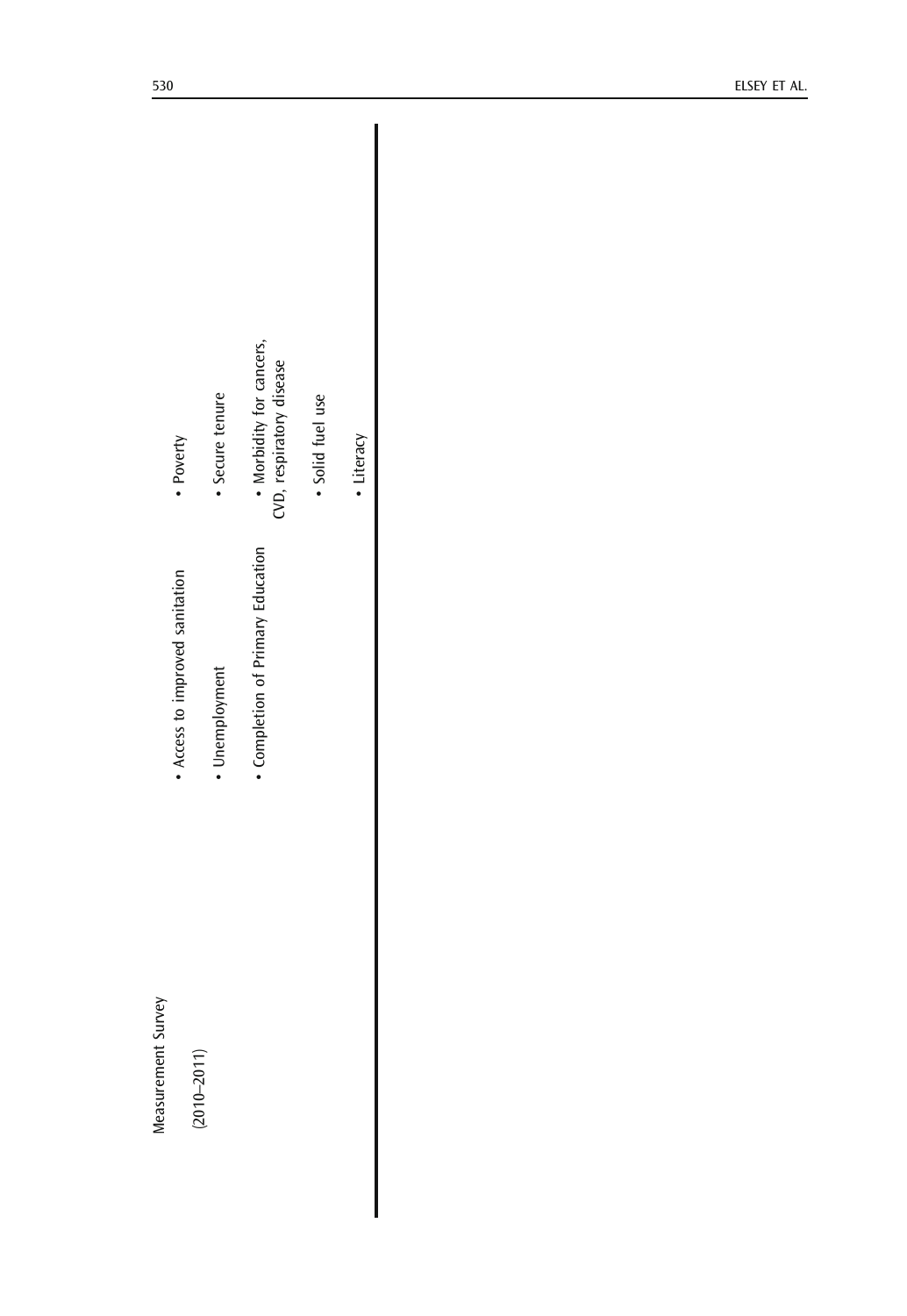|                    | · Poverty                       | · Secure tenure | • Morbidity for cancers,<br>CVD, respiratory disease | • Solid fuel use | • Literacy |
|--------------------|---------------------------------|-----------------|------------------------------------------------------|------------------|------------|
|                    | • Access to improved sanitation | · Unemployment  | • Completion of Primary Education                    |                  |            |
| Measurement Survey | $(2010 - 2011)$                 |                 |                                                      |                  |            |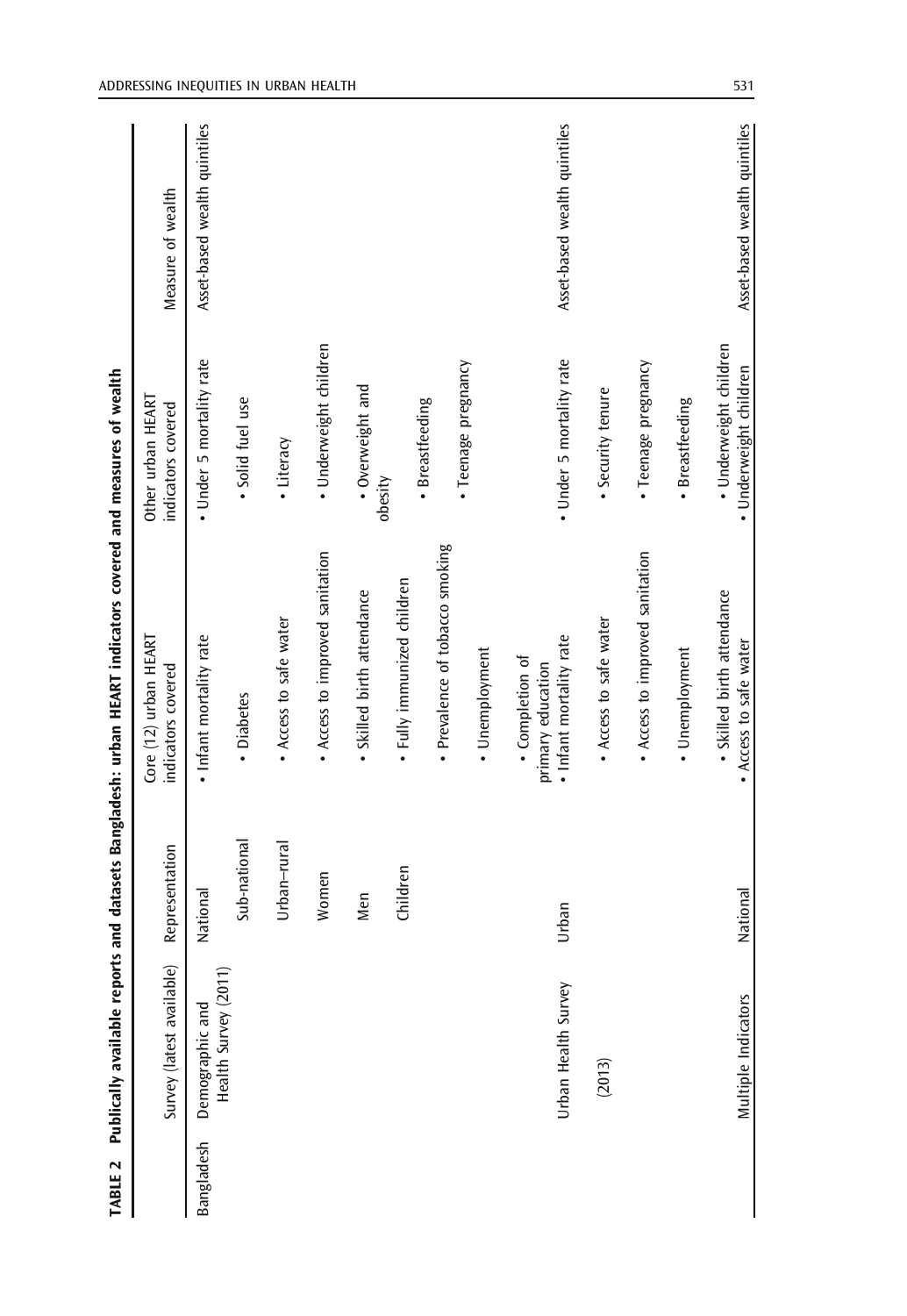<span id="page-5-0"></span>

| <b>TABLE 2</b> |                           |                | Publically available reports and datasets Bangladesh: urban HEART indicators covered and measures of wealth |                                                  |                              |
|----------------|---------------------------|----------------|-------------------------------------------------------------------------------------------------------------|--------------------------------------------------|------------------------------|
|                | Survey (latest available) | Representation | Core (12) urban HEART<br>indicators covered                                                                 | Other urban HEART<br>indicators covered          | Measure of wealth            |
| Bangladesh     | Demographic and           | National       | · Infant mortality rate                                                                                     | • Under 5 mortality rate                         | Asset-based wealth quintiles |
|                | Health Survey (2011)      | Sub-national   | · Diabetes                                                                                                  | • Solid fuel use                                 |                              |
|                |                           | Urban-rural    | . Access to safe water                                                                                      | • Literacy                                       |                              |
|                |                           | Women          | • Access to improved sanitation                                                                             | · Underweight children                           |                              |
|                |                           | Men            | • Skilled birth attendance                                                                                  | • Overweight and                                 |                              |
|                |                           | Children       | · Fully immunized children                                                                                  | obesity                                          |                              |
|                |                           |                | · Prevalence of tobacco smoking                                                                             | · Breastfeeding                                  |                              |
|                |                           |                | • Unemployment                                                                                              | · Teenage pregnancy                              |                              |
|                | Urban Health Survey       | Urban          | • Infant mortality rate<br>• Completion of<br>primary education                                             | • Under 5 mortality rate                         | Asset-based wealth quintiles |
|                | (2013)                    |                | • Access to safe water                                                                                      | · Security tenure                                |                              |
|                |                           |                | Access to improved sanitation                                                                               | · Teenage pregnancy                              |                              |
|                |                           |                | · Unemployment                                                                                              | · Breastfeeding                                  |                              |
|                | Multiple Indicators       | National       | • Skilled birth attendance<br>• Access to safe water                                                        | · Underweight children<br>· Underweight children | Asset-based wealth quintiles |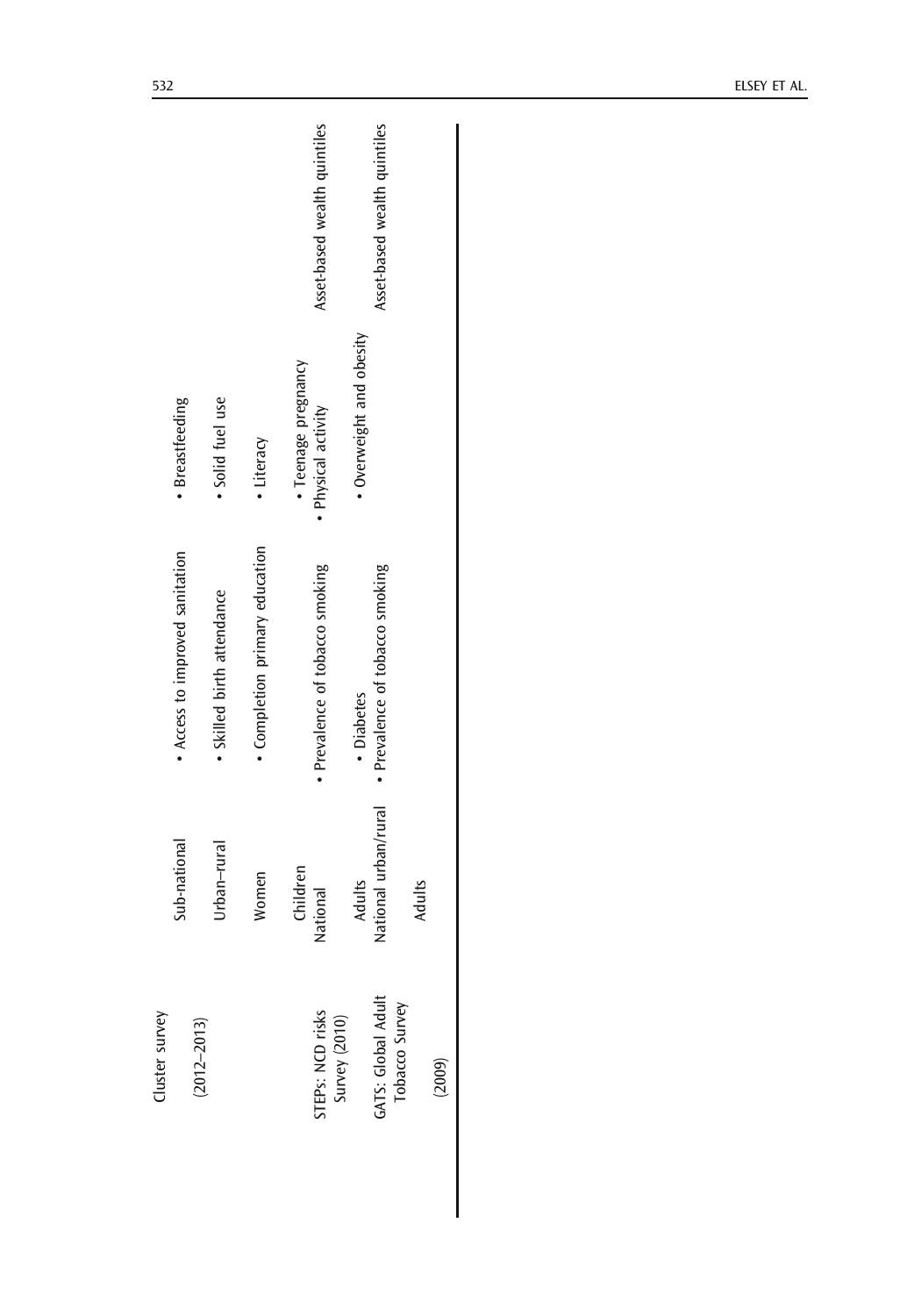|                |                                 |                 |                            |                                |                     | Asset-based wealth quintiles    |                      |                          | Asset-based wealth quintiles    |                |        |        |
|----------------|---------------------------------|-----------------|----------------------------|--------------------------------|---------------------|---------------------------------|----------------------|--------------------------|---------------------------------|----------------|--------|--------|
|                | • Breastfeeding                 |                 | · Solid fuel use           | • Literacy                     | · Teenage pregnancy | · Physical activity             |                      | • Overweight and obesity |                                 |                |        |        |
|                | • Access to improved sanitation |                 | • Skilled birth attendance | · Completion primary education |                     | · Prevalence of tobacco smoking |                      | · Diabetes               | · Prevalence of tobacco smoking |                |        |        |
|                | Sub-national                    |                 | Urban-rural                | Women                          | Children            | National                        |                      | <b>Adults</b>            | National urban/rural            |                | Adults |        |
| Cluster survey |                                 | $(2012 - 2013)$ |                            |                                |                     | TEPs: NCD risks                 | <b>Survey (2010)</b> |                          | GATS: Global Adult              | Tobacco Survey |        | (2009) |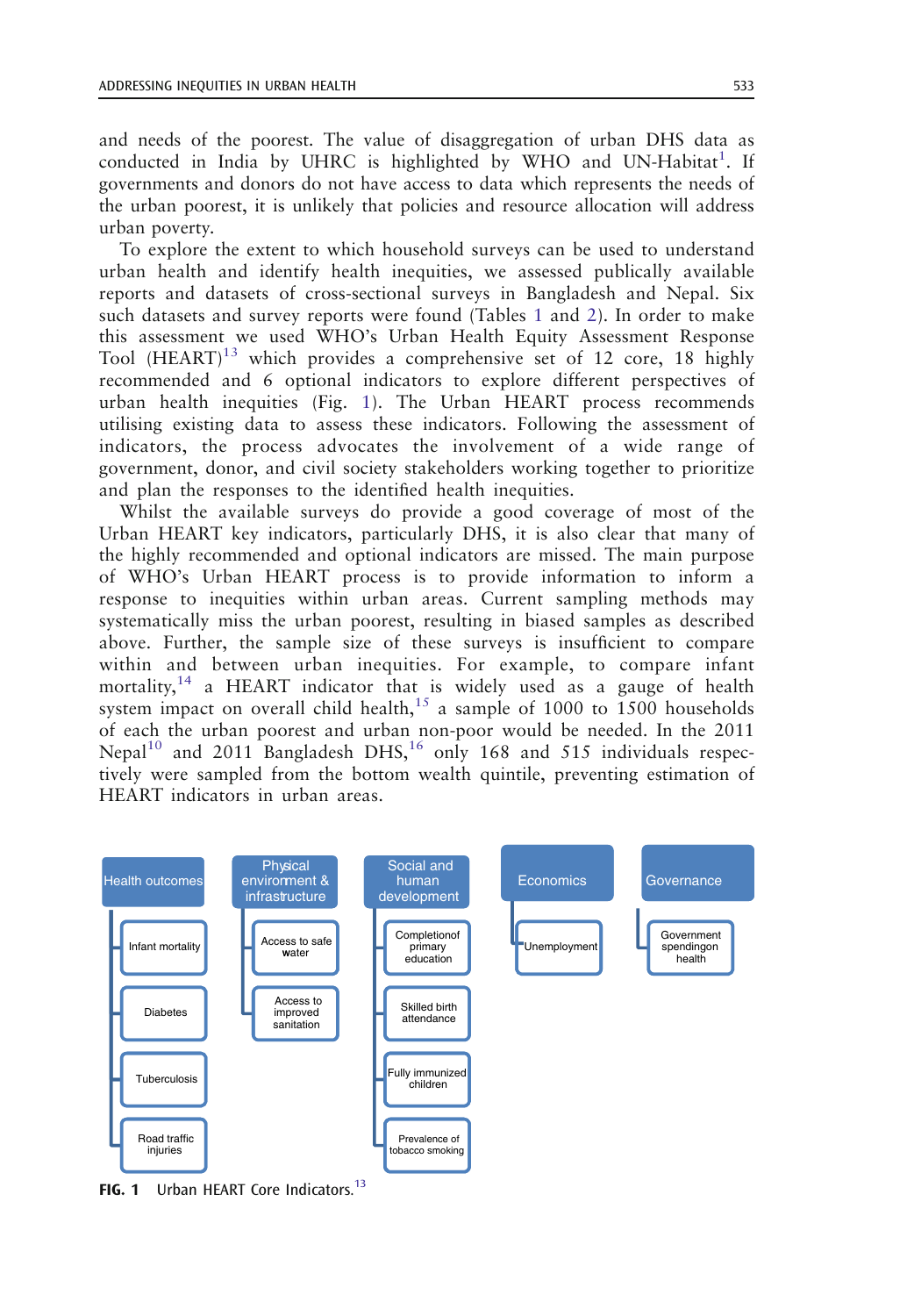and needs of the poorest. The value of disaggregation of urban DHS data as conducted in India by UHRC is highlighted by WHO and UN-Habitat<sup>[1](#page-11-0)</sup>. If governments and donors do not have access to data which represents the needs of the urban poorest, it is unlikely that policies and resource allocation will address urban poverty.

To explore the extent to which household surveys can be used to understand urban health and identify health inequities, we assessed publically available reports and datasets of cross-sectional surveys in Bangladesh and Nepal. Six such datasets and survey reports were found (Tables [1](#page-3-0) and [2\)](#page-5-0). In order to make this assessment we used WHO's Urban Health Equity Assessment Response Tool  $(HEART)^{13}$  $(HEART)^{13}$  $(HEART)^{13}$  which provides a comprehensive set of 12 core, 18 highly recommended and 6 optional indicators to explore different perspectives of urban health inequities (Fig. 1). The Urban HEART process recommends utilising existing data to assess these indicators. Following the assessment of indicators, the process advocates the involvement of a wide range of government, donor, and civil society stakeholders working together to prioritize and plan the responses to the identified health inequities.

Whilst the available surveys do provide a good coverage of most of the Urban HEART key indicators, particularly DHS, it is also clear that many of the highly recommended and optional indicators are missed. The main purpose of WHO's Urban HEART process is to provide information to inform a response to inequities within urban areas. Current sampling methods may systematically miss the urban poorest, resulting in biased samples as described above. Further, the sample size of these surveys is insufficient to compare within and between urban inequities. For example, to compare infant mortality,<sup>[14](#page-11-0)</sup> a HEART indicator that is widely used as a gauge of health system impact on overall child health,<sup>[15](#page-11-0)</sup> a sample of 1000 to  $1500$  households of each the urban poorest and urban non-poor would be needed. In the 2011 Nepal<sup>[10](#page-11-0)</sup> and 2011 Bangladesh DHS,<sup>[16](#page-11-0)</sup> only 168 and 515 individuals respectively were sampled from the bottom wealth quintile, preventing estimation of HEART indicators in urban areas.

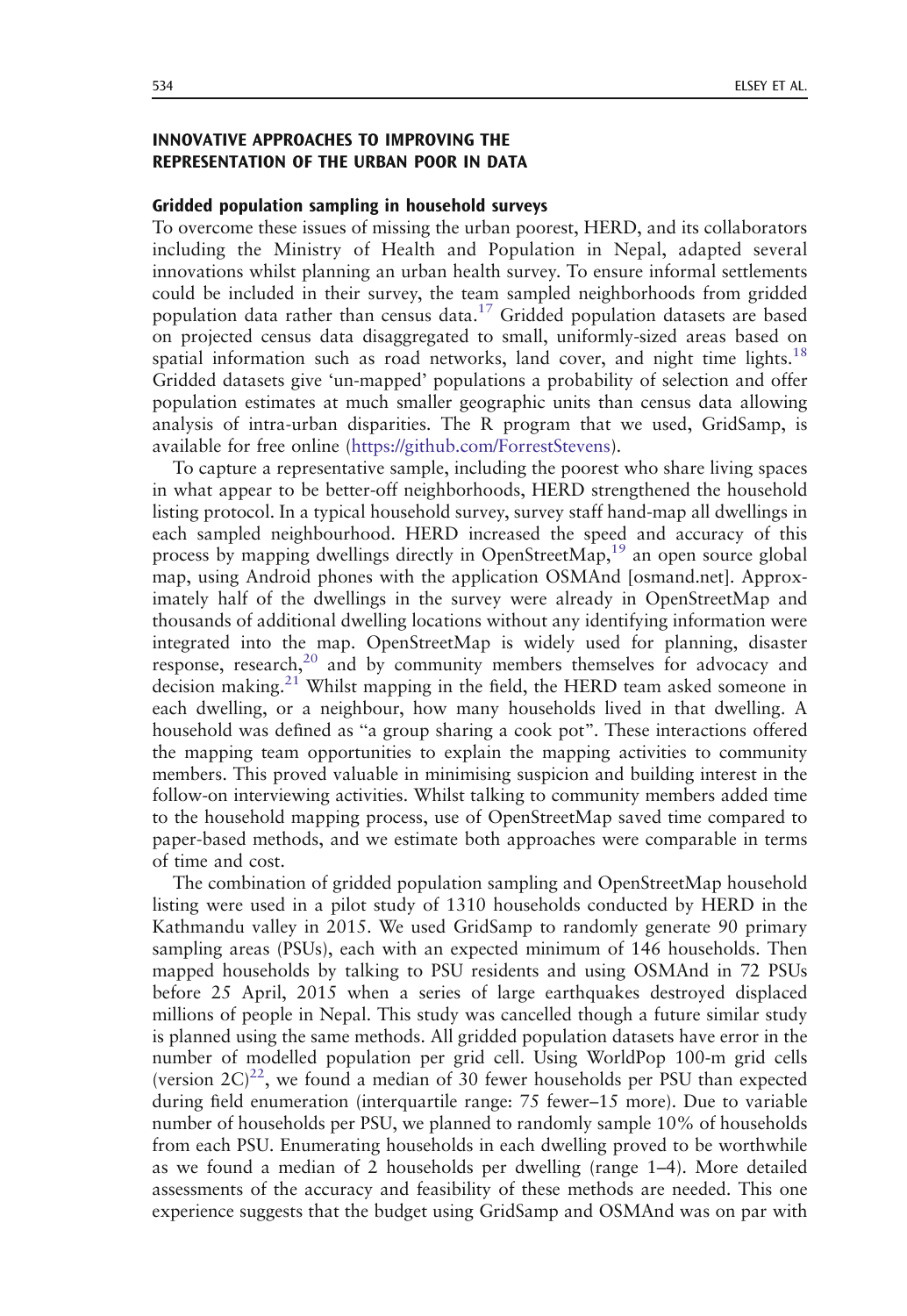## INNOVATIVE APPROACHES TO IMPROVING THE REPRESENTATION OF THE URBAN POOR IN DATA

#### Gridded population sampling in household surveys

To overcome these issues of missing the urban poorest, HERD, and its collaborators including the Ministry of Health and Population in Nepal, adapted several innovations whilst planning an urban health survey. To ensure informal settlements could be included in their survey, the team sampled neighborhoods from gridded population data rather than census data.[17](#page-11-0) Gridded population datasets are based on projected census data disaggregated to small, uniformly-sized areas based on spatial information such as road networks, land cover, and night time lights.<sup>[18](#page-11-0)</sup> Gridded datasets give 'un-mapped' populations a probability of selection and offer population estimates at much smaller geographic units than census data allowing analysis of intra-urban disparities. The R program that we used, GridSamp, is available for free online [\(https://github.com/ForrestStevens](https://github.com/ForrestStevens)).

To capture a representative sample, including the poorest who share living spaces in what appear to be better-off neighborhoods, HERD strengthened the household listing protocol. In a typical household survey, survey staff hand-map all dwellings in each sampled neighbourhood. HERD increased the speed and accuracy of this process by mapping dwellings directly in OpenStreetMap,  $19$  an open source global map, using Android phones with the application OSMAnd [osmand.net]. Approximately half of the dwellings in the survey were already in OpenStreetMap and thousands of additional dwelling locations without any identifying information were integrated into the map. OpenStreetMap is widely used for planning, disaster response, research,<sup>[20](#page-11-0)</sup> and by community members themselves for advocacy and decision making.<sup>[21](#page-11-0)</sup> Whilst mapping in the field, the HERD team asked someone in each dwelling, or a neighbour, how many households lived in that dwelling. A household was defined as "a group sharing a cook pot". These interactions offered the mapping team opportunities to explain the mapping activities to community members. This proved valuable in minimising suspicion and building interest in the follow-on interviewing activities. Whilst talking to community members added time to the household mapping process, use of OpenStreetMap saved time compared to paper-based methods, and we estimate both approaches were comparable in terms of time and cost.

The combination of gridded population sampling and OpenStreetMap household listing were used in a pilot study of 1310 households conducted by HERD in the Kathmandu valley in 2015. We used GridSamp to randomly generate 90 primary sampling areas (PSUs), each with an expected minimum of 146 households. Then mapped households by talking to PSU residents and using OSMAnd in 72 PSUs before 25 April, 2015 when a series of large earthquakes destroyed displaced millions of people in Nepal. This study was cancelled though a future similar study is planned using the same methods. All gridded population datasets have error in the number of modelled population per grid cell. Using WorldPop 100-m grid cells (version  $2C^{22}$ , we found a median of 30 fewer households per PSU than expected during field enumeration (interquartile range: 75 fewer–15 more). Due to variable number of households per PSU, we planned to randomly sample 10% of households from each PSU. Enumerating households in each dwelling proved to be worthwhile as we found a median of 2 households per dwelling (range 1–4). More detailed assessments of the accuracy and feasibility of these methods are needed. This one experience suggests that the budget using GridSamp and OSMAnd was on par with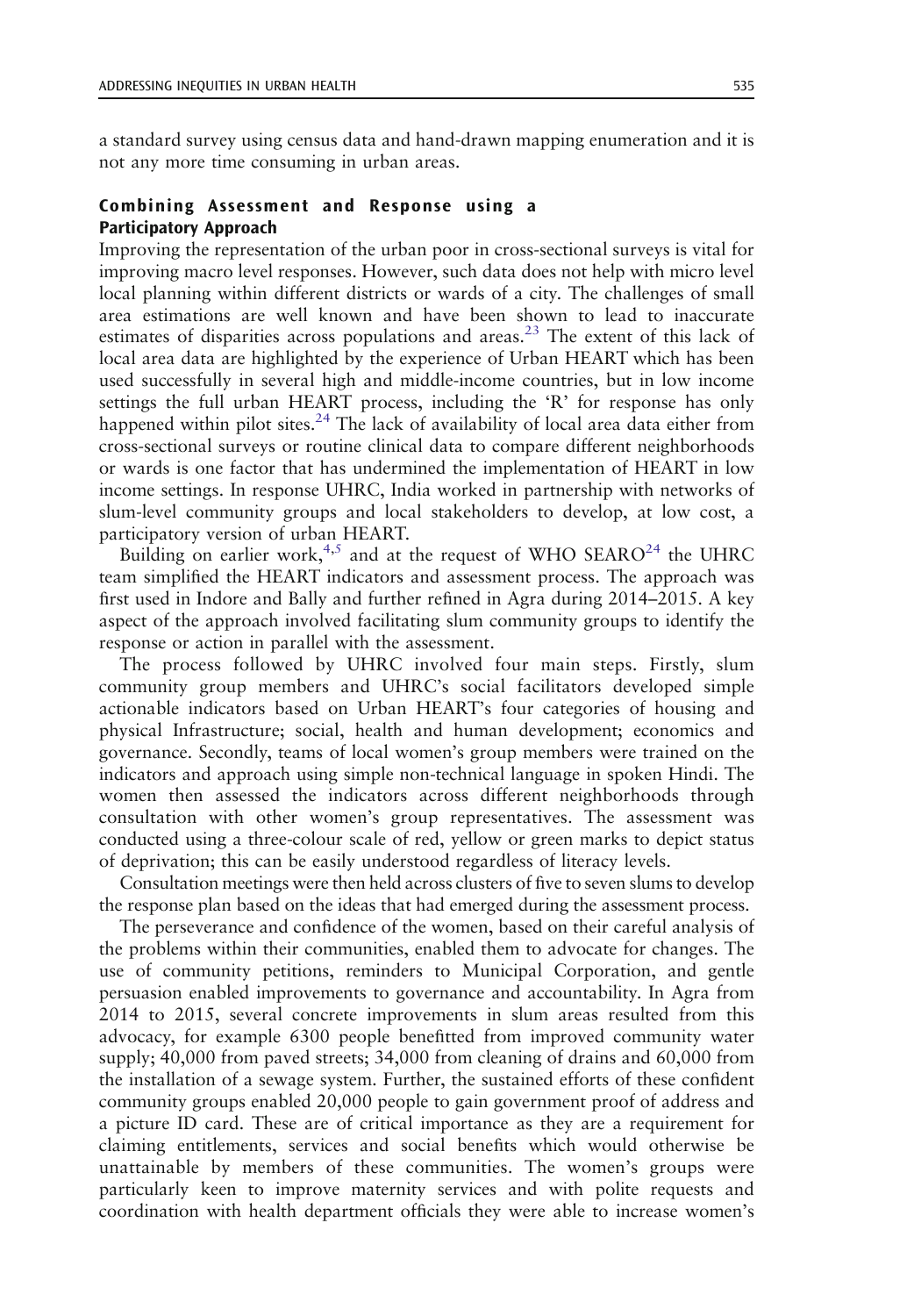a standard survey using census data and hand-drawn mapping enumeration and it is not any more time consuming in urban areas.

## Combining Assessment and Response using a Participatory Approach

Improving the representation of the urban poor in cross-sectional surveys is vital for improving macro level responses. However, such data does not help with micro level local planning within different districts or wards of a city. The challenges of small area estimations are well known and have been shown to lead to inaccurate estimates of disparities across populations and areas.<sup>[23](#page-11-0)</sup> The extent of this lack of local area data are highlighted by the experience of Urban HEART which has been used successfully in several high and middle-income countries, but in low income settings the full urban HEART process, including the 'R' for response has only happened within pilot sites. $^{24}$  $^{24}$  $^{24}$  The lack of availability of local area data either from cross-sectional surveys or routine clinical data to compare different neighborhoods or wards is one factor that has undermined the implementation of HEART in low income settings. In response UHRC, India worked in partnership with networks of slum-level community groups and local stakeholders to develop, at low cost, a participatory version of urban HEART.

Building on earlier work,<sup>[4,5](#page-11-0)</sup> and at the request of WHO SEARO<sup>[24](#page-11-0)</sup> the UHRC team simplified the HEART indicators and assessment process. The approach was first used in Indore and Bally and further refined in Agra during 2014–2015. A key aspect of the approach involved facilitating slum community groups to identify the response or action in parallel with the assessment.

The process followed by UHRC involved four main steps. Firstly, slum community group members and UHRC's social facilitators developed simple actionable indicators based on Urban HEART's four categories of housing and physical Infrastructure; social, health and human development; economics and governance. Secondly, teams of local women's group members were trained on the indicators and approach using simple non-technical language in spoken Hindi. The women then assessed the indicators across different neighborhoods through consultation with other women's group representatives. The assessment was conducted using a three-colour scale of red, yellow or green marks to depict status of deprivation; this can be easily understood regardless of literacy levels.

Consultation meetings were then held across clusters of five to seven slums to develop the response plan based on the ideas that had emerged during the assessment process.

The perseverance and confidence of the women, based on their careful analysis of the problems within their communities, enabled them to advocate for changes. The use of community petitions, reminders to Municipal Corporation, and gentle persuasion enabled improvements to governance and accountability. In Agra from 2014 to 2015, several concrete improvements in slum areas resulted from this advocacy, for example 6300 people benefitted from improved community water supply; 40,000 from paved streets; 34,000 from cleaning of drains and 60,000 from the installation of a sewage system. Further, the sustained efforts of these confident community groups enabled 20,000 people to gain government proof of address and a picture ID card. These are of critical importance as they are a requirement for claiming entitlements, services and social benefits which would otherwise be unattainable by members of these communities. The women's groups were particularly keen to improve maternity services and with polite requests and coordination with health department officials they were able to increase women's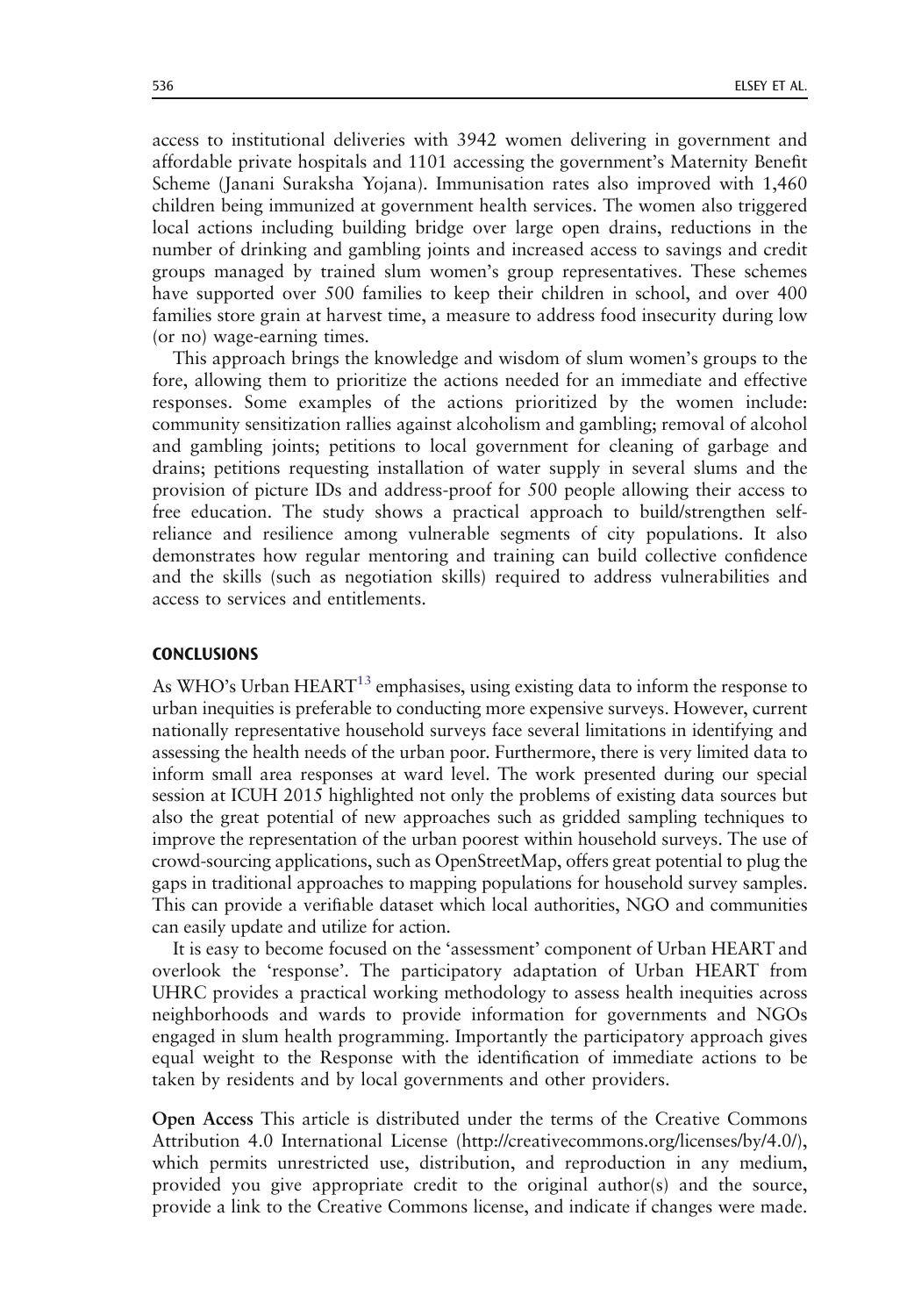access to institutional deliveries with 3942 women delivering in government and affordable private hospitals and 1101 accessing the government's Maternity Benefit Scheme (Janani Suraksha Yojana). Immunisation rates also improved with 1,460 children being immunized at government health services. The women also triggered local actions including building bridge over large open drains, reductions in the number of drinking and gambling joints and increased access to savings and credit groups managed by trained slum women's group representatives. These schemes have supported over 500 families to keep their children in school, and over 400 families store grain at harvest time, a measure to address food insecurity during low (or no) wage-earning times.

This approach brings the knowledge and wisdom of slum women's groups to the fore, allowing them to prioritize the actions needed for an immediate and effective responses. Some examples of the actions prioritized by the women include: community sensitization rallies against alcoholism and gambling; removal of alcohol and gambling joints; petitions to local government for cleaning of garbage and drains; petitions requesting installation of water supply in several slums and the provision of picture IDs and address-proof for 500 people allowing their access to free education. The study shows a practical approach to build/strengthen selfreliance and resilience among vulnerable segments of city populations. It also demonstrates how regular mentoring and training can build collective confidence and the skills (such as negotiation skills) required to address vulnerabilities and access to services and entitlements.

### **CONCLUSIONS**

As WHO's Urban  $HEART<sup>13</sup>$  emphasises, using existing data to inform the response to urban inequities is preferable to conducting more expensive surveys. However, current nationally representative household surveys face several limitations in identifying and assessing the health needs of the urban poor. Furthermore, there is very limited data to inform small area responses at ward level. The work presented during our special session at ICUH 2015 highlighted not only the problems of existing data sources but also the great potential of new approaches such as gridded sampling techniques to improve the representation of the urban poorest within household surveys. The use of crowd-sourcing applications, such as OpenStreetMap, offers great potential to plug the gaps in traditional approaches to mapping populations for household survey samples. This can provide a verifiable dataset which local authorities, NGO and communities can easily update and utilize for action.

It is easy to become focused on the 'assessment' component of Urban HEART and overlook the 'response'. The participatory adaptation of Urban HEART from UHRC provides a practical working methodology to assess health inequities across neighborhoods and wards to provide information for governments and NGOs engaged in slum health programming. Importantly the participatory approach gives equal weight to the Response with the identification of immediate actions to be taken by residents and by local governments and other providers.

Open Access This article is distributed under the terms of the Creative Commons Attribution 4.0 International License (http://creativecommons.org/licenses/by/4.0/), which permits unrestricted use, distribution, and reproduction in any medium, provided you give appropriate credit to the original author(s) and the source, provide a link to the Creative Commons license, and indicate if changes were made.